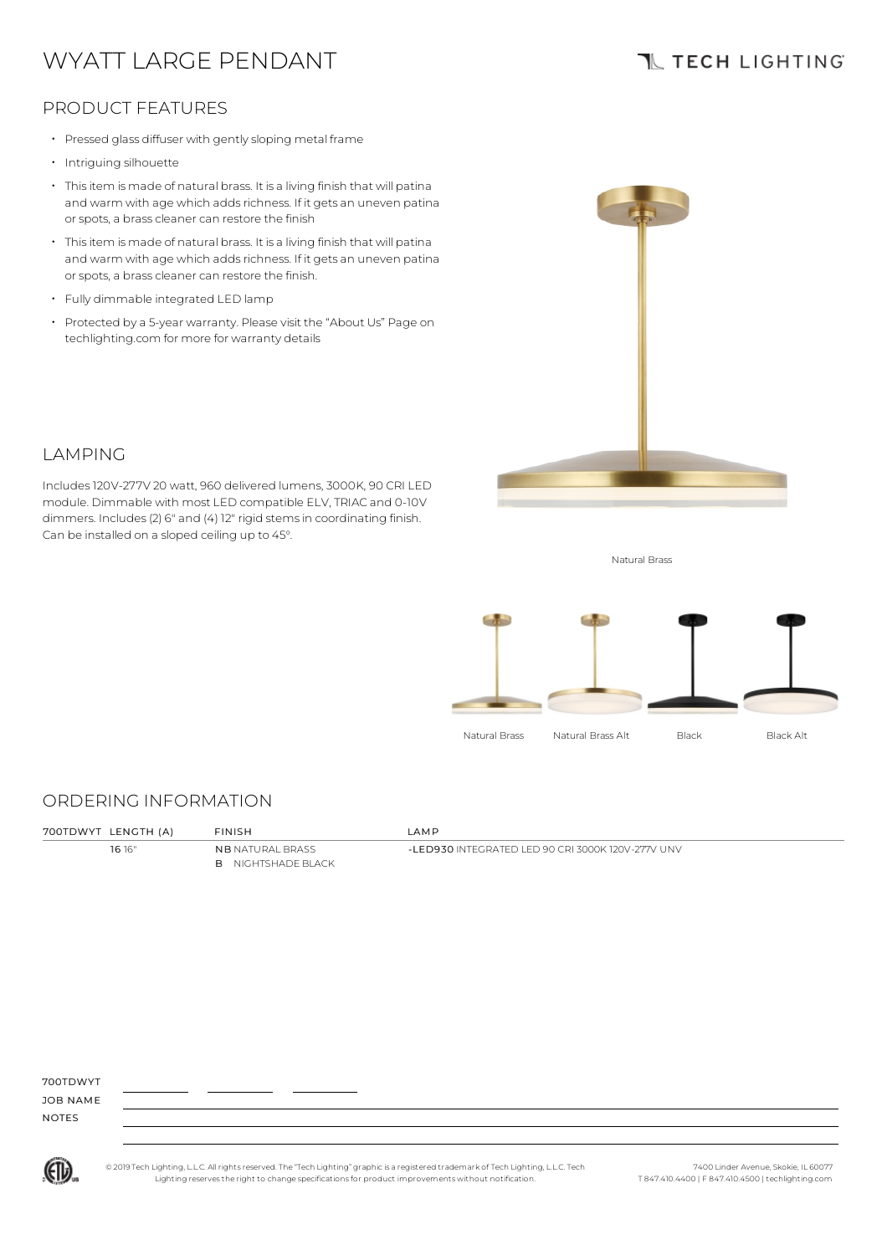# WYATT LARGE PENDANT

## **TL TECH LIGHTING**

### PRODUCT FEATURES

- Pressed glass diffuser with gentlysloping metal frame
- Intriguing silhouette

LAMPING

- Thisitem is made of natural brass. It is a living finish that will patina and warm with age which adds richness. If it gets an uneven patina or spots, a brass cleaner can restore the finish
- Thisitem is made of natural brass. It is a living finish that will patina and warm with age which adds richness. If it gets an uneven patina or spots, a brass cleaner can restore the finish.
- Fully dimmable integrated LED lamp

Can be installed on a sloped ceiling up to 45°.

• Protected by a 5-year warranty. Please visit the "About Us" Page on techlighting.com for more for warranty details

Includes120V-277V 20 watt, 960 delivered lumens, 3000K, 90 CRI LED module. Dimmable with most LED compatible ELV, TRIAC and 0-10V dimmers. Includes(2) 6" and (4) 12" rigid stemsin coordinating finish.



Natural Brass



#### ORDERING INFORMATION

| 700TDWYT LENGTH (A) | <b>FINISH</b>                                        | LAMP                                              |
|---------------------|------------------------------------------------------|---------------------------------------------------|
| 16 16"              | <b>NB</b> NATURAL BRASS<br><b>B</b> NIGHTSHADE BLACK | -LED930 INTEGRATED LED 90 CRI 3000K 120V-277V UNV |

700TDWYT

JOB NAME NOTES



© 2019 Tech Lighting, L.L.C. All rightsreserved. The "Tech Lighting" graphicis a registered trademark of Tech Lighting, L.L.C. Tech Lighting reservesthe right to change specificationsfor product improvements without notification.

7400 Linder Avenue, Skokie, IL 60077 T 847.410.4400 | F 847.410.4500 | techlighting.com